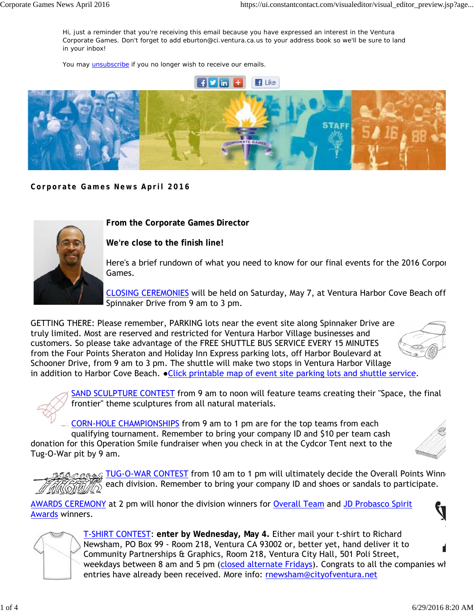Hi, just a reminder that you're receiving this email because you have expressed an interest in the Ventura Corporate Games. Don't forget to add eburton@ci.ventura.ca.us to your address book so we'll be sure to land in your inbox!

You may **unsubscribe** if you no longer wish to receive our emails.



**Corporate Games News April 2016**



**From the Corporate Games Director**

**We're close to the finish line!**

Here's a brief rundown of what you need to know for our final events for the 2016 Corpor Games.

CLOSING CEREMONIES will be held on Saturday, May 7, at Ventura Harbor Cove Beach off Spinnaker Drive from 9 am to 3 pm.

GETTING THERE: Please remember, PARKING lots near the event site along Spinnaker Drive are truly limited. Most are reserved and restricted for Ventura Harbor Village businesses and customers. So please take advantage of the FREE SHUTTLE BUS SERVICE EVERY 15 MINUTES from the Four Points Sheraton and Holiday Inn Express parking lots, off Harbor Boulevard at Schooner Drive, from 9 am to 3 pm. The shuttle will make two stops in Ventura Harbor Village in addition to Harbor Cove Beach. • Click printable map of event site parking lots and shuttle service.



SAND SCULPTURE CONTEST from 9 am to noon will feature teams creating their "Space, the final

frontier" theme sculptures from all natural materials.

CORN-HOLE CHAMPIONSHIPS from 9 am to 1 pm are for the top teams from each qualifying tournament. Remember to bring your company ID and \$10 per team cash donation for this Operation Smile fundraiser when you check in at the Cydcor Tent next to the Tug-O-War pit by 9 am.



10 and TUG-O-WAR CONTEST from 10 am to 1 pm will ultimately decide the Overall Points Winner each division. Remember to bring your company ID and shoes or sandals to participate.

AWARDS CEREMONY at 2 pm will honor the division winners for Overall Team and JD Probasco Spirit Awards winners.



T-SHIRT CONTEST: **enter by Wednesday, May 4.** Either mail your t-shirt to Richard Newsham, PO Box 99 - Room 218, Ventura CA 93002 or, better yet, hand deliver it to Community Partnerships & Graphics, Room 218, Ventura City Hall, 501 Poli Street, weekdays between 8 am and 5 pm (closed alternate Fridays). Congrats to all the companies wh entries have already been received. More info: rnewsham@cityofventura.net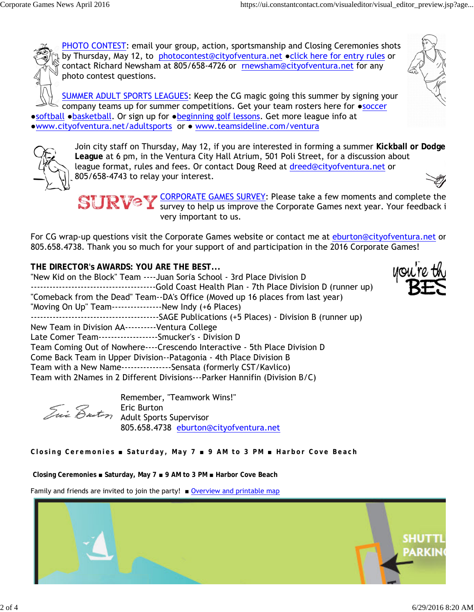PHOTO CONTEST: email your group, action, sportsmanship and Closing Ceremonies shots by Thursday, May 12, to photocontest@cityofventura.net • click here for entry rules or contact Richard Newsham at 805/658-4726 or rnewsham@cityofventura.net for any photo contest questions.

SUMMER ADULT SPORTS LEAGUES: Keep the CG magic going this summer by signing your company teams up for summer competitions. Get your team rosters here for ●soccer ●softball ●basketball. Or sign up for ●beginning golf lessons. Get more league info at ●www.cityofventura.net/adultsports or ● www.teamsideline.com/ventura



Join city staff on Thursday, May 12, if you are interested in forming a summer **Kickball or Dodge League** at 6 pm, in the Ventura City Hall Atrium, 501 Poli Street, for a discussion about league format, rules and fees. Or contact Doug Reed at dreed@cityofventura.net or 805/658-4743 to relay your interest.

CORPORATE GAMES SURVEY: Please take a few moments and complete the survey to help us improve the Corporate Games next year. Your feedback i very important to us.

For CG wrap-up questions visit the Corporate Games website or contact me at eburton@cityofventura.net or 805.658.4738. Thank you so much for your support of and participation in the 2016 Corporate Games!

**THE DIRECTOR's AWARDS: YOU ARE THE BEST...** "New Kid on the Block" Team ----Juan Soria School - 3rd Place Division D ----------------------------------------Gold Coast Health Plan - 7th Place Division D (runner up) "Comeback from the Dead" Team--DA's Office (Moved up 16 places from last year) "Moving On Up" Team----------------New Indy (+6 Places) -----------------------------------------SAGE Publications (+5 Places) - Division B (runner up) New Team in Division AA----------Ventura College Late Comer Team-------------------Smucker's - Division D Team Coming Out of Nowhere----Crescendo Interactive - 5th Place Division D Come Back Team in Upper Division--Patagonia - 4th Place Division B Team with a New Name----------------Sensata (formerly CST/Kavlico) Team with 2Names in 2 Different Divisions---Parker Hannifin (Division B/C)

Remember, "Teamwork Wins!" Eric Burton Adult Sports Supervisor 805.658.4738 eburton@cityofventura.net

**Closing Ceremonies ■ Saturday, May 7 ■ 9 AM to 3 PM ■ Harbor Cove Beach**

 **Closing Ceremonies ■ Saturday, May 7 ■ 9 AM to 3 PM ■ Harbor Cove Beach**

Family and friends are invited to join the party!  $\blacksquare$  Overview and printable map



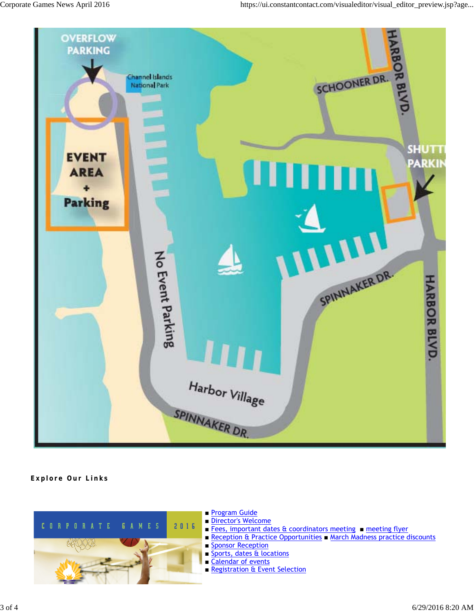

## **Explore Our Links**



- Program Guide
- Director's Welcome
- Fees, important dates & coordinators meeting meeting flyer
- Reception & Practice Opportunities March Madness practice discounts
- Sponsor Reception
- Sports, dates & locations
- Calendar of events
- Registration & Event Selection